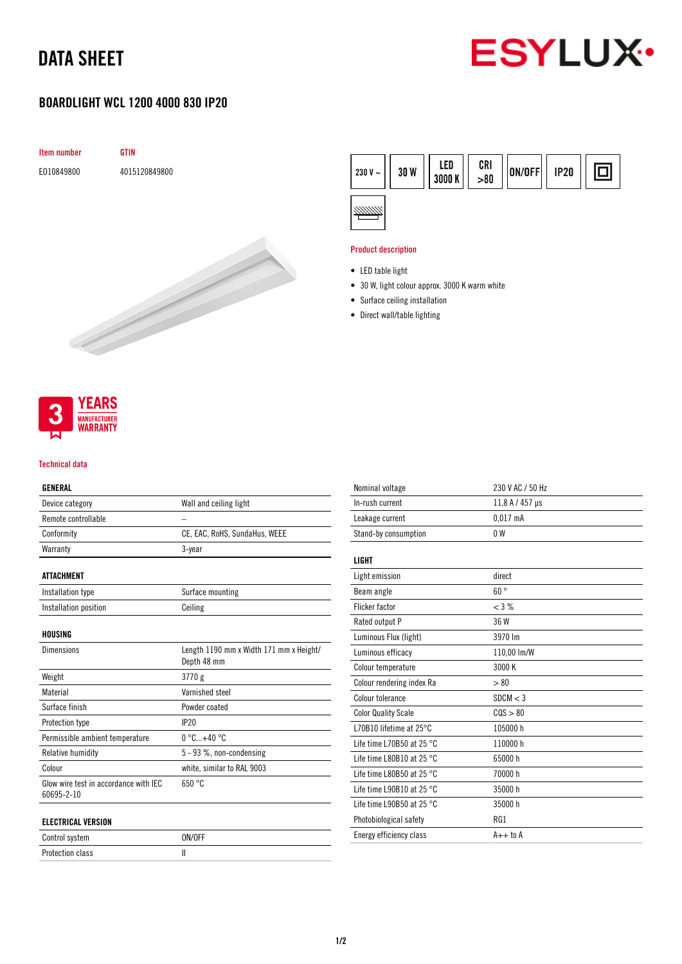# DATA SHEET



## BOARDLIGHT WCL 1200 4000 830 IP20





### Product description

- LED table light
- 30 W, light colour approx. 3000 K warm white
- Surface ceiling installation
- Direct wall/table lighting



#### Technical data

## GENERAL

| Device category                                     | Wall and ceiling light                                 |
|-----------------------------------------------------|--------------------------------------------------------|
| Remote controllable                                 |                                                        |
| Conformity                                          | CE, EAC, RoHS, SundaHus, WEEE                          |
| Warranty                                            | 3-year                                                 |
| ATTACHMENT                                          |                                                        |
| Installation type                                   | Surface mounting                                       |
| Installation position                               | Ceiling                                                |
| HOUSING                                             |                                                        |
| <b>Dimensions</b>                                   | Length 1190 mm x Width 171 mm x Height/<br>Depth 48 mm |
| Weight                                              | 3770 g                                                 |
| Material                                            | Varnished steel                                        |
| Surface finish                                      | Powder coated                                          |
| Protection type                                     | <b>IP20</b>                                            |
| Permissible ambient temperature                     | $0^{\circ}$ C+40 $^{\circ}$ C                          |
| Relative humidity                                   | 5 - 93 %, non-condensing                               |
| Colour                                              | white, similar to RAL 9003                             |
| Glow wire test in accordance with IEC<br>60695-2-10 | 650 °C                                                 |
| <b>ELECTRICAL VERSION</b>                           |                                                        |

| ----------------------- |        |
|-------------------------|--------|
| Control system          | ON/OFF |
| <b>Protection class</b> |        |

| Nominal voltage                     | 230 V AC / 50 Hz |
|-------------------------------------|------------------|
| In-rush current                     | 11,8 A / 457 µs  |
| Leakage current                     | $0.017$ mA       |
| Stand-by consumption                | 0 <sub>W</sub>   |
|                                     |                  |
| <b>LIGHT</b>                        |                  |
| Light emission                      | direct           |
| Beam angle                          | $60^{\circ}$     |
| <b>Flicker factor</b>               | $<$ 3 %          |
| Rated output P                      | 36 W             |
| Luminous Flux (light)               | 3970 lm          |
| Luminous efficacy                   | 110,00 lm/W      |
| Colour temperature                  | 3000 K           |
| Colour rendering index Ra           | > 80             |
| Colour tolerance                    | SDCM < 3         |
| <b>Color Quality Scale</b>          | COS > 80         |
| L70B10 lifetime at 25°C             | 105000 h         |
| Life time L70B50 at 25 $^{\circ}$ C | 110000 h         |
| Life time L80B10 at 25 $^{\circ}$ C | 65000h           |
| Life time L80B50 at 25 $^{\circ}$ C | 70000 h          |
| Life time L90B10 at 25 $^{\circ}$ C | 35000h           |
| Life time L90B50 at 25 $^{\circ}$ C | 35000 h          |
| Photobiological safety              | RG1              |
| Energy efficiency class             | $A++$ to $A$     |
|                                     |                  |